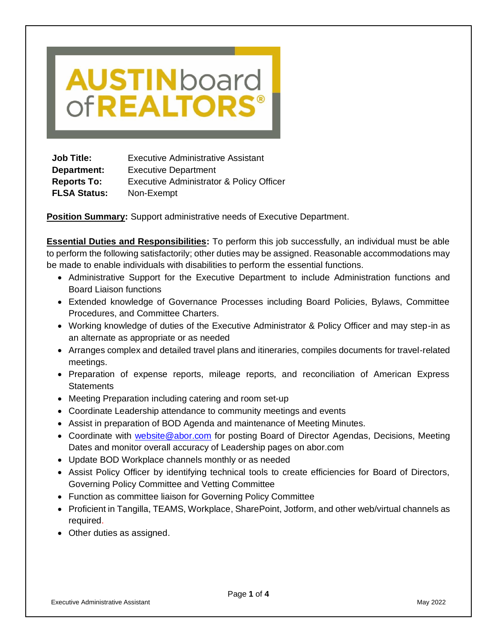# **AUSTIN**board of**REALTORS®**

**Job Title:** Executive Administrative Assistant **Department:** Executive Department **Reports To:** Executive Administrator & Policy Officer **FLSA Status:** Non-Exempt

**Position Summary:** Support administrative needs of Executive Department.

**Essential Duties and Responsibilities:** To perform this job successfully, an individual must be able to perform the following satisfactorily; other duties may be assigned. Reasonable accommodations may be made to enable individuals with disabilities to perform the essential functions.

- Administrative Support for the Executive Department to include Administration functions and Board Liaison functions
- Extended knowledge of Governance Processes including Board Policies, Bylaws, Committee Procedures, and Committee Charters.
- Working knowledge of duties of the Executive Administrator & Policy Officer and may step-in as an alternate as appropriate or as needed
- Arranges complex and detailed travel plans and itineraries, compiles documents for travel-related meetings.
- Preparation of expense reports, mileage reports, and reconciliation of American Express **Statements**
- Meeting Preparation including catering and room set-up
- Coordinate Leadership attendance to community meetings and events
- Assist in preparation of BOD Agenda and maintenance of Meeting Minutes.
- Coordinate with [website@abor.com](mailto:website@abor.com) for posting Board of Director Agendas, Decisions, Meeting Dates and monitor overall accuracy of Leadership pages on abor.com
- Update BOD Workplace channels monthly or as needed
- Assist Policy Officer by identifying technical tools to create efficiencies for Board of Directors, Governing Policy Committee and Vetting Committee
- Function as committee liaison for Governing Policy Committee
- Proficient in Tangilla, TEAMS, Workplace, SharePoint, Jotform, and other web/virtual channels as required.
- Other duties as assigned.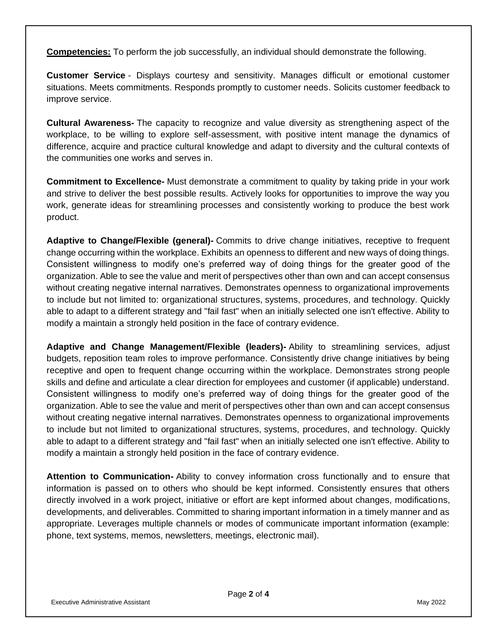**Competencies:** To perform the job successfully, an individual should demonstrate the following.

**Customer Service** - Displays courtesy and sensitivity. Manages difficult or emotional customer situations. Meets commitments. Responds promptly to customer needs. Solicits customer feedback to improve service.

**Cultural Awareness-** The capacity to recognize and value diversity as strengthening aspect of the workplace, to be willing to explore self-assessment, with positive intent manage the dynamics of difference, acquire and practice cultural knowledge and adapt to diversity and the cultural contexts of the communities one works and serves in.

**Commitment to Excellence-** Must demonstrate a commitment to quality by taking pride in your work and strive to deliver the best possible results. Actively looks for opportunities to improve the way you work, generate ideas for streamlining processes and consistently working to produce the best work product.

**Adaptive to Change/Flexible (general)-** Commits to drive change initiatives, receptive to frequent change occurring within the workplace. Exhibits an openness to different and new ways of doing things. Consistent willingness to modify one's preferred way of doing things for the greater good of the organization. Able to see the value and merit of perspectives other than own and can accept consensus without creating negative internal narratives. Demonstrates openness to organizational improvements to include but not limited to: organizational structures, systems, procedures, and technology. Quickly able to adapt to a different strategy and "fail fast" when an initially selected one isn't effective. Ability to modify a maintain a strongly held position in the face of contrary evidence.

**Adaptive and Change Management/Flexible (leaders)-** Ability to streamlining services, adjust budgets, reposition team roles to improve performance. Consistently drive change initiatives by being receptive and open to frequent change occurring within the workplace. Demonstrates strong people skills and define and articulate a clear direction for employees and customer (if applicable) understand. Consistent willingness to modify one's preferred way of doing things for the greater good of the organization. Able to see the value and merit of perspectives other than own and can accept consensus without creating negative internal narratives. Demonstrates openness to organizational improvements to include but not limited to organizational structures, systems, procedures, and technology. Quickly able to adapt to a different strategy and "fail fast" when an initially selected one isn't effective. Ability to modify a maintain a strongly held position in the face of contrary evidence.

**Attention to Communication-** Ability to convey information cross functionally and to ensure that information is passed on to others who should be kept informed. Consistently ensures that others directly involved in a work project, initiative or effort are kept informed about changes, modifications, developments, and deliverables. Committed to sharing important information in a timely manner and as appropriate. Leverages multiple channels or modes of communicate important information (example: phone, text systems, memos, newsletters, meetings, electronic mail).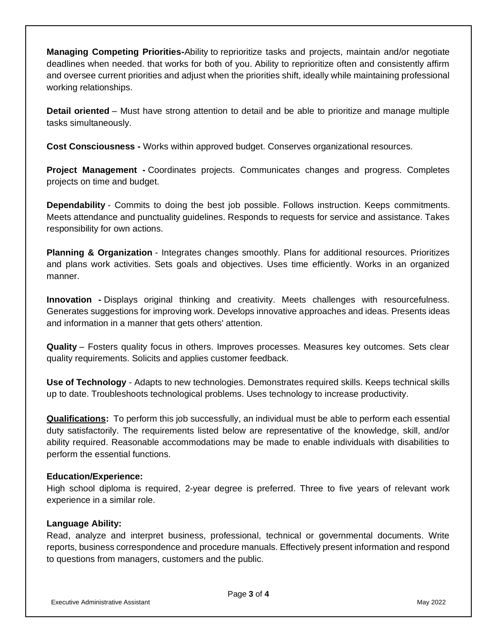**Managing Competing Priorities-**Ability to reprioritize tasks and projects, maintain and/or negotiate deadlines when needed. that works for both of you. Ability to reprioritize often and consistently affirm and oversee current priorities and adjust when the priorities shift, ideally while maintaining professional working relationships.

**Detail oriented** – Must have strong attention to detail and be able to prioritize and manage multiple tasks simultaneously.

**Cost Consciousness -** Works within approved budget. Conserves organizational resources.

**Project Management -** Coordinates projects. Communicates changes and progress. Completes projects on time and budget.

**Dependability** - Commits to doing the best job possible. Follows instruction. Keeps commitments. Meets attendance and punctuality guidelines. Responds to requests for service and assistance. Takes responsibility for own actions.

**Planning & Organization** - Integrates changes smoothly. Plans for additional resources. Prioritizes and plans work activities. Sets goals and objectives. Uses time efficiently. Works in an organized manner.

**Innovation -** Displays original thinking and creativity. Meets challenges with resourcefulness. Generates suggestions for improving work. Develops innovative approaches and ideas. Presents ideas and information in a manner that gets others' attention.

**Quality** – Fosters quality focus in others. Improves processes. Measures key outcomes. Sets clear quality requirements. Solicits and applies customer feedback.

**Use of Technology** - Adapts to new technologies. Demonstrates required skills. Keeps technical skills up to date. Troubleshoots technological problems. Uses technology to increase productivity.

**Qualifications:** To perform this job successfully, an individual must be able to perform each essential duty satisfactorily. The requirements listed below are representative of the knowledge, skill, and/or ability required. Reasonable accommodations may be made to enable individuals with disabilities to perform the essential functions.

## **Education/Experience:**

High school diploma is required, 2-year degree is preferred. Three to five years of relevant work experience in a similar role.

#### **Language Ability:**

Read, analyze and interpret business, professional, technical or governmental documents. Write reports, business correspondence and procedure manuals. Effectively present information and respond to questions from managers, customers and the public.